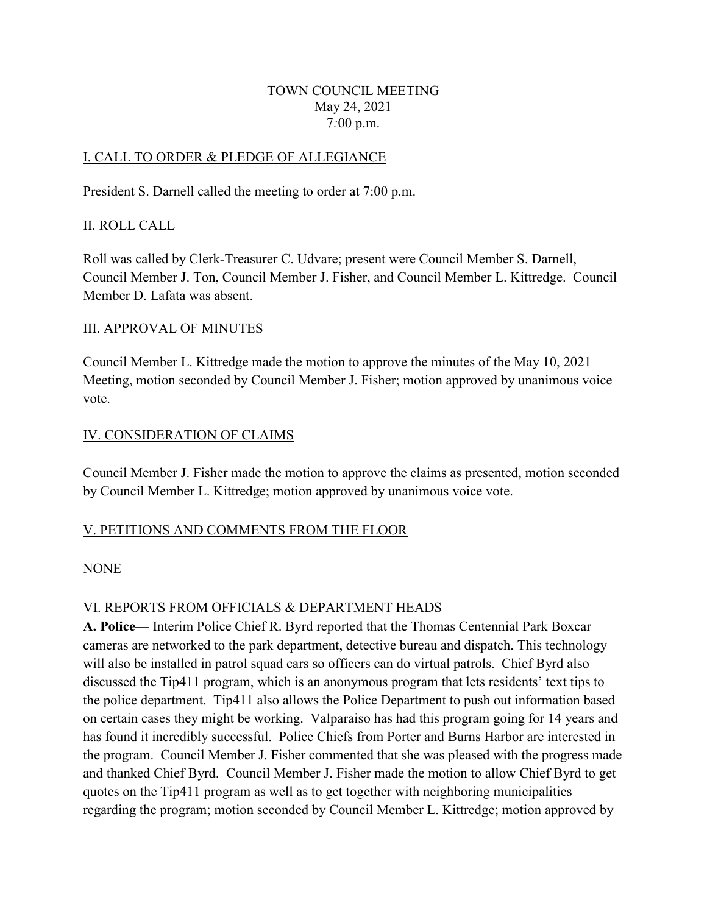#### TOWN COUNCIL MEETING May 24, 2021 7*:*00 p.m.

# I. CALL TO ORDER & PLEDGE OF ALLEGIANCE

President S. Darnell called the meeting to order at 7:00 p.m.

# II. ROLL CALL

Roll was called by Clerk-Treasurer C. Udvare; present were Council Member S. Darnell, Council Member J. Ton, Council Member J. Fisher, and Council Member L. Kittredge. Council Member D. Lafata was absent.

### III. APPROVAL OF MINUTES

Council Member L. Kittredge made the motion to approve the minutes of the May 10, 2021 Meeting, motion seconded by Council Member J. Fisher; motion approved by unanimous voice vote.

### IV. CONSIDERATION OF CLAIMS

Council Member J. Fisher made the motion to approve the claims as presented, motion seconded by Council Member L. Kittredge; motion approved by unanimous voice vote.

### V. PETITIONS AND COMMENTS FROM THE FLOOR

### NONE

### VI. REPORTS FROM OFFICIALS & DEPARTMENT HEADS

**A. Police**— Interim Police Chief R. Byrd reported that the Thomas Centennial Park Boxcar cameras are networked to the park department, detective bureau and dispatch. This technology will also be installed in patrol squad cars so officers can do virtual patrols. Chief Byrd also discussed the Tip411 program, which is an anonymous program that lets residents' text tips to the police department. Tip411 also allows the Police Department to push out information based on certain cases they might be working. Valparaiso has had this program going for 14 years and has found it incredibly successful. Police Chiefs from Porter and Burns Harbor are interested in the program. Council Member J. Fisher commented that she was pleased with the progress made and thanked Chief Byrd. Council Member J. Fisher made the motion to allow Chief Byrd to get quotes on the Tip411 program as well as to get together with neighboring municipalities regarding the program; motion seconded by Council Member L. Kittredge; motion approved by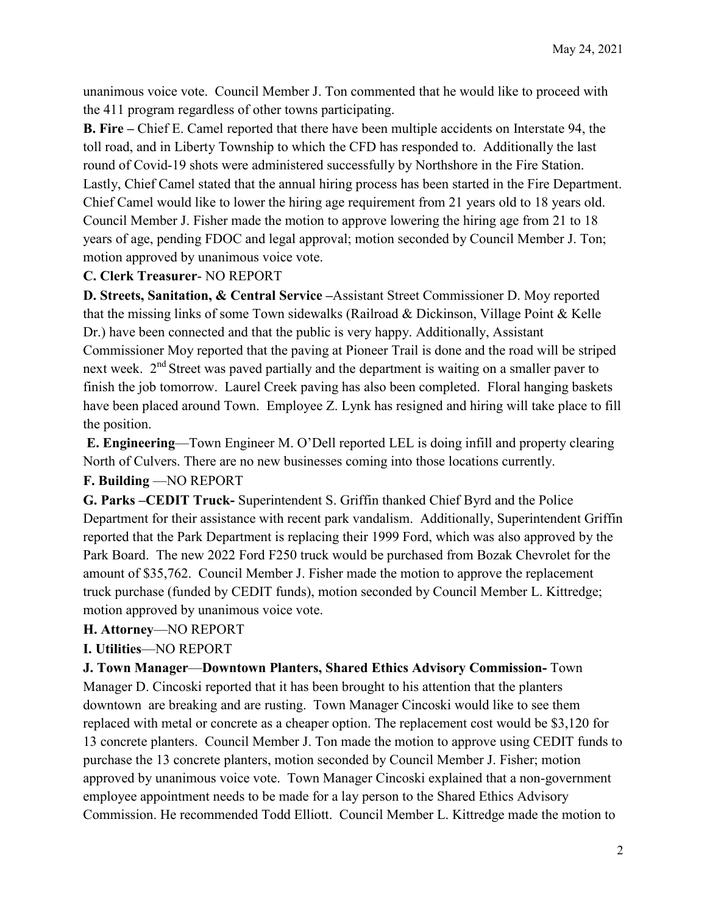unanimous voice vote. Council Member J. Ton commented that he would like to proceed with the 411 program regardless of other towns participating.

**B. Fire –** Chief E. Camel reported that there have been multiple accidents on Interstate 94, the toll road, and in Liberty Township to which the CFD has responded to. Additionally the last round of Covid-19 shots were administered successfully by Northshore in the Fire Station. Lastly, Chief Camel stated that the annual hiring process has been started in the Fire Department. Chief Camel would like to lower the hiring age requirement from 21 years old to 18 years old. Council Member J. Fisher made the motion to approve lowering the hiring age from 21 to 18 years of age, pending FDOC and legal approval; motion seconded by Council Member J. Ton; motion approved by unanimous voice vote.

### **C. Clerk Treasurer**- NO REPORT

**D. Streets, Sanitation, & Central Service –**Assistant Street Commissioner D. Moy reported that the missing links of some Town sidewalks (Railroad & Dickinson, Village Point & Kelle Dr.) have been connected and that the public is very happy. Additionally, Assistant Commissioner Moy reported that the paving at Pioneer Trail is done and the road will be striped next week. 2<sup>nd</sup> Street was paved partially and the department is waiting on a smaller paver to finish the job tomorrow. Laurel Creek paving has also been completed. Floral hanging baskets have been placed around Town. Employee Z. Lynk has resigned and hiring will take place to fill the position.

**E. Engineering**—Town Engineer M. O'Dell reported LEL is doing infill and property clearing North of Culvers. There are no new businesses coming into those locations currently. **F. Building** —NO REPORT

**G. Parks –CEDIT Truck-** Superintendent S. Griffin thanked Chief Byrd and the Police Department for their assistance with recent park vandalism. Additionally, Superintendent Griffin reported that the Park Department is replacing their 1999 Ford, which was also approved by the Park Board. The new 2022 Ford F250 truck would be purchased from Bozak Chevrolet for the amount of \$35,762. Council Member J. Fisher made the motion to approve the replacement truck purchase (funded by CEDIT funds), motion seconded by Council Member L. Kittredge; motion approved by unanimous voice vote.

### **H. Attorney**—NO REPORT

### **I. Utilities**—NO REPORT

**J. Town Manager**—**Downtown Planters, Shared Ethics Advisory Commission-** Town Manager D. Cincoski reported that it has been brought to his attention that the planters downtown are breaking and are rusting. Town Manager Cincoski would like to see them replaced with metal or concrete as a cheaper option. The replacement cost would be \$3,120 for 13 concrete planters. Council Member J. Ton made the motion to approve using CEDIT funds to purchase the 13 concrete planters, motion seconded by Council Member J. Fisher; motion approved by unanimous voice vote. Town Manager Cincoski explained that a non-government employee appointment needs to be made for a lay person to the Shared Ethics Advisory Commission. He recommended Todd Elliott. Council Member L. Kittredge made the motion to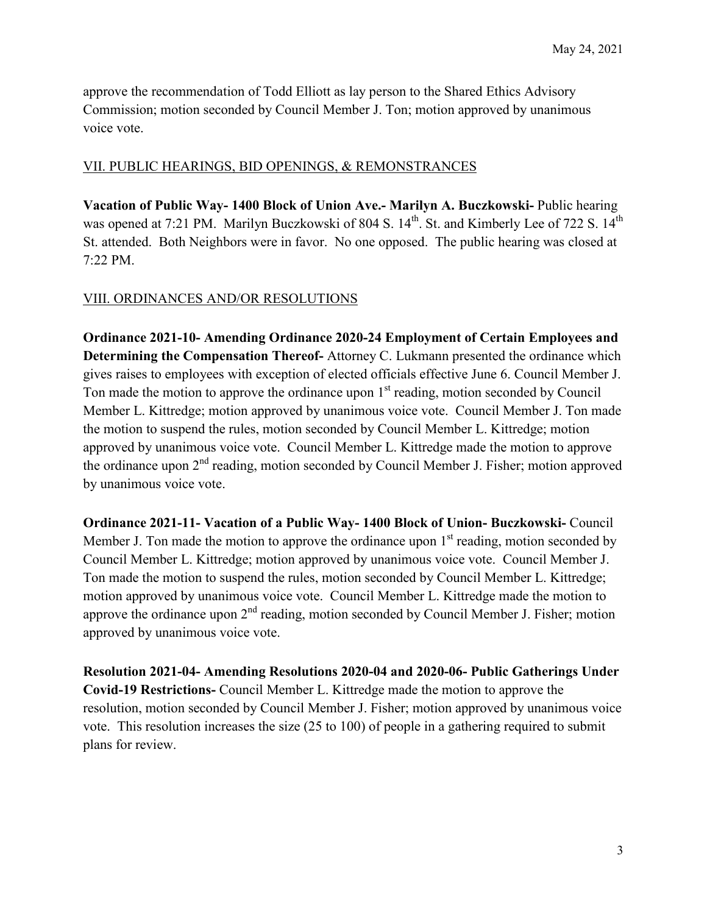approve the recommendation of Todd Elliott as lay person to the Shared Ethics Advisory Commission; motion seconded by Council Member J. Ton; motion approved by unanimous voice vote.

# VII. PUBLIC HEARINGS, BID OPENINGS, & REMONSTRANCES

**Vacation of Public Way- 1400 Block of Union Ave.- Marilyn A. Buczkowski-** Public hearing was opened at 7:21 PM. Marilyn Buczkowski of 804 S. 14<sup>th</sup>. St. and Kimberly Lee of 722 S. 14<sup>th</sup> St. attended. Both Neighbors were in favor. No one opposed. The public hearing was closed at 7:22 PM.

### VIII. ORDINANCES AND/OR RESOLUTIONS

**Ordinance 2021-10- Amending Ordinance 2020-24 Employment of Certain Employees and Determining the Compensation Thereof-** Attorney C. Lukmann presented the ordinance which gives raises to employees with exception of elected officials effective June 6. Council Member J. Ton made the motion to approve the ordinance upon  $1<sup>st</sup>$  reading, motion seconded by Council Member L. Kittredge; motion approved by unanimous voice vote. Council Member J. Ton made the motion to suspend the rules, motion seconded by Council Member L. Kittredge; motion approved by unanimous voice vote. Council Member L. Kittredge made the motion to approve the ordinance upon  $2<sup>nd</sup>$  reading, motion seconded by Council Member J. Fisher; motion approved by unanimous voice vote.

**Ordinance 2021-11- Vacation of a Public Way- 1400 Block of Union- Buczkowski-** Council Member J. Ton made the motion to approve the ordinance upon  $1<sup>st</sup>$  reading, motion seconded by Council Member L. Kittredge; motion approved by unanimous voice vote. Council Member J. Ton made the motion to suspend the rules, motion seconded by Council Member L. Kittredge; motion approved by unanimous voice vote. Council Member L. Kittredge made the motion to approve the ordinance upon  $2<sup>nd</sup>$  reading, motion seconded by Council Member J. Fisher; motion approved by unanimous voice vote.

**Resolution 2021-04- Amending Resolutions 2020-04 and 2020-06- Public Gatherings Under Covid-19 Restrictions-** Council Member L. Kittredge made the motion to approve the resolution, motion seconded by Council Member J. Fisher; motion approved by unanimous voice vote. This resolution increases the size (25 to 100) of people in a gathering required to submit plans for review.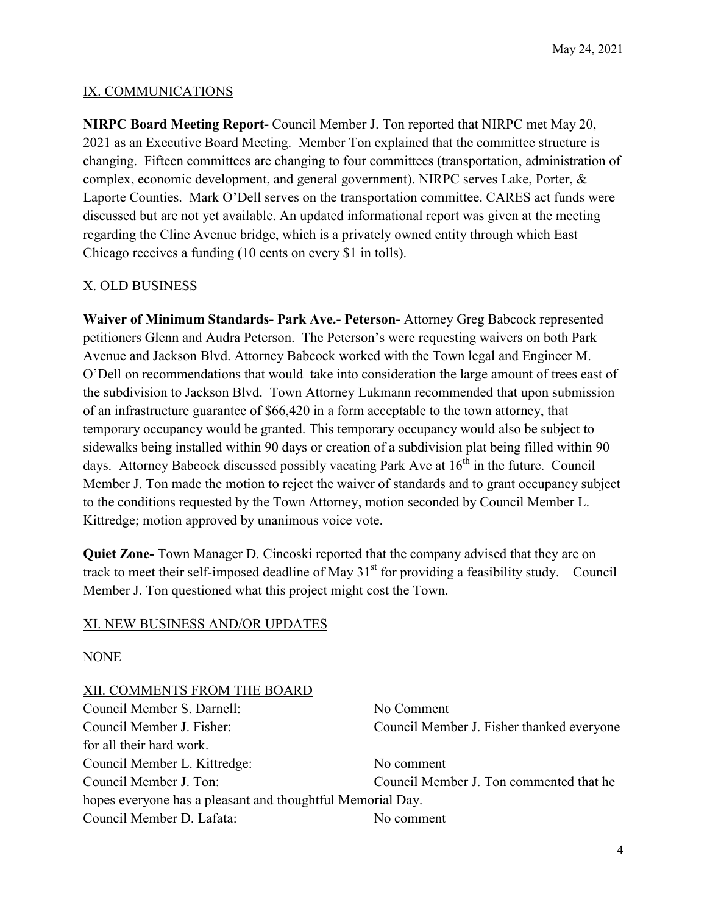#### IX. COMMUNICATIONS

**NIRPC Board Meeting Report-** Council Member J. Ton reported that NIRPC met May 20, 2021 as an Executive Board Meeting. Member Ton explained that the committee structure is changing. Fifteen committees are changing to four committees (transportation, administration of complex, economic development, and general government). NIRPC serves Lake, Porter, & Laporte Counties. Mark O'Dell serves on the transportation committee. CARES act funds were discussed but are not yet available. An updated informational report was given at the meeting regarding the Cline Avenue bridge, which is a privately owned entity through which East Chicago receives a funding (10 cents on every \$1 in tolls).

#### X. OLD BUSINESS

**Waiver of Minimum Standards- Park Ave.- Peterson-** Attorney Greg Babcock represented petitioners Glenn and Audra Peterson. The Peterson's were requesting waivers on both Park Avenue and Jackson Blvd. Attorney Babcock worked with the Town legal and Engineer M. O'Dell on recommendations that would take into consideration the large amount of trees east of the subdivision to Jackson Blvd. Town Attorney Lukmann recommended that upon submission of an infrastructure guarantee of \$66,420 in a form acceptable to the town attorney, that temporary occupancy would be granted. This temporary occupancy would also be subject to sidewalks being installed within 90 days or creation of a subdivision plat being filled within 90 days. Attorney Babcock discussed possibly vacating Park Ave at  $16<sup>th</sup>$  in the future. Council Member J. Ton made the motion to reject the waiver of standards and to grant occupancy subject to the conditions requested by the Town Attorney, motion seconded by Council Member L. Kittredge; motion approved by unanimous voice vote.

**Quiet Zone-** Town Manager D. Cincoski reported that the company advised that they are on track to meet their self-imposed deadline of May  $31<sup>st</sup>$  for providing a feasibility study. Council Member J. Ton questioned what this project might cost the Town.

#### XI. NEW BUSINESS AND/OR UPDATES

**NONE** 

| XII. COMMENTS FROM THE BOARD                               |                                           |
|------------------------------------------------------------|-------------------------------------------|
| Council Member S. Darnell:                                 | No Comment                                |
| Council Member J. Fisher:                                  | Council Member J. Fisher thanked everyone |
| for all their hard work.                                   |                                           |
| Council Member L. Kittredge:                               | No comment                                |
| Council Member J. Ton:                                     | Council Member J. Ton commented that he   |
| hopes everyone has a pleasant and thoughtful Memorial Day. |                                           |
| Council Member D. Lafata:                                  | No comment                                |